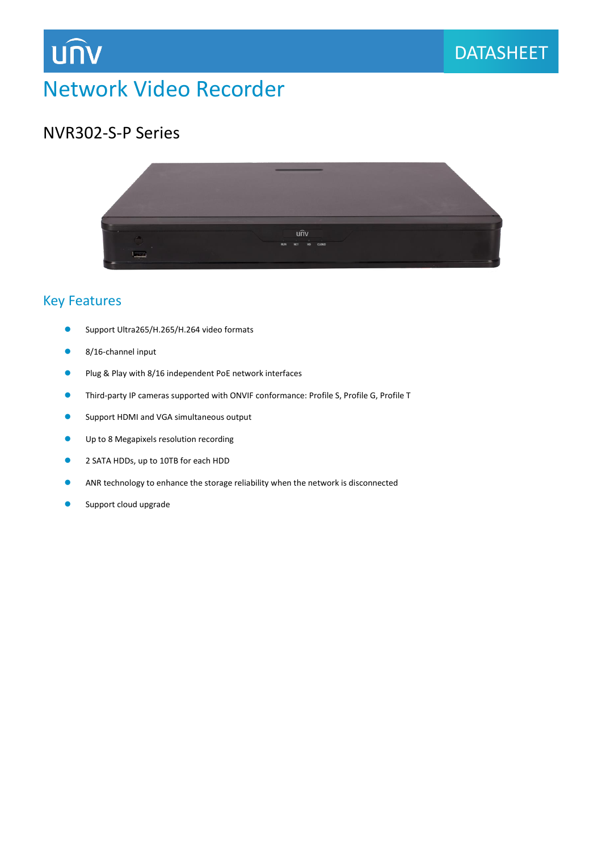

# Network Video Recorder

### NVR302-S-P Series

**UNV** 



### Key Features

- Support Ultra265/H.265/H.264 video formats
- 8/16-channel input
- Plug & Play with 8/16 independent PoE network interfaces
- ⚫ Third-party IP cameras supported with ONVIF conformance: Profile S, Profile G, Profile T
- Support HDMI and VGA simultaneous output
- Up to 8 Megapixels resolution recording
- 2 SATA HDDs, up to 10TB for each HDD
- ⚫ ANR technology to enhance the storage reliability when the network is disconnected
- Support cloud upgrade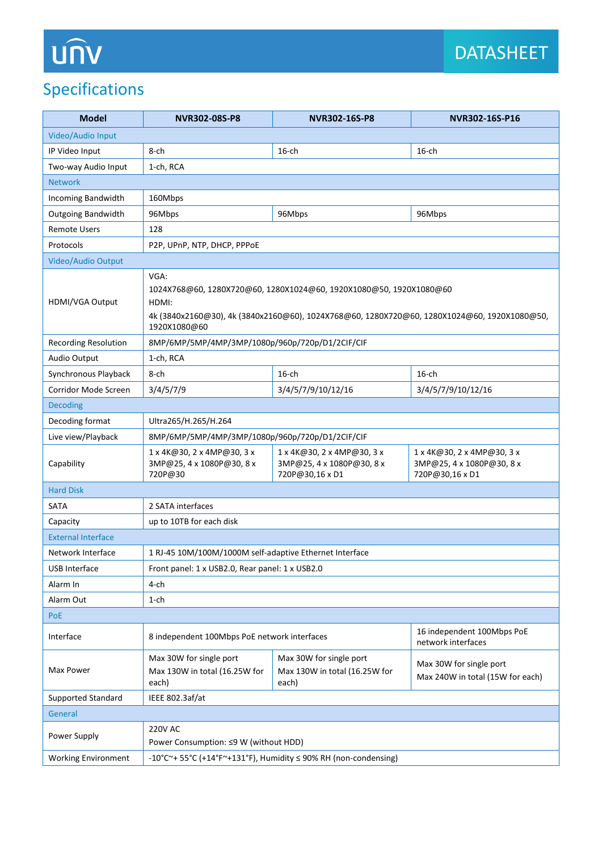# **UNV**

# Specifications

| <b>Model</b>                | NVR302-08S-P8                                                                                                                                                                                      | NVR302-16S-P8                                                              | NVR302-16S-P16                                                             |  |
|-----------------------------|----------------------------------------------------------------------------------------------------------------------------------------------------------------------------------------------------|----------------------------------------------------------------------------|----------------------------------------------------------------------------|--|
| Video/Audio Input           |                                                                                                                                                                                                    |                                                                            |                                                                            |  |
| IP Video Input              | 8-ch                                                                                                                                                                                               | $16$ -ch                                                                   | $16$ -ch                                                                   |  |
| Two-way Audio Input         | 1-ch, RCA                                                                                                                                                                                          |                                                                            |                                                                            |  |
| <b>Network</b>              |                                                                                                                                                                                                    |                                                                            |                                                                            |  |
| Incoming Bandwidth          | 160Mbps                                                                                                                                                                                            |                                                                            |                                                                            |  |
| <b>Outgoing Bandwidth</b>   | 96Mbps                                                                                                                                                                                             | 96Mbps                                                                     | 96Mbps                                                                     |  |
| <b>Remote Users</b>         | 128                                                                                                                                                                                                |                                                                            |                                                                            |  |
| Protocols                   | P2P, UPnP, NTP, DHCP, PPPoE                                                                                                                                                                        |                                                                            |                                                                            |  |
| Video/Audio Output          |                                                                                                                                                                                                    |                                                                            |                                                                            |  |
| HDMI/VGA Output             | VGA:<br>1024X768@60, 1280X720@60, 1280X1024@60, 1920X1080@50, 1920X1080@60<br>HDMI:<br>4k (3840x2160@30), 4k (3840x2160@60), 1024X768@60, 1280X720@60, 1280X1024@60, 1920X1080@50,<br>1920X1080@60 |                                                                            |                                                                            |  |
| <b>Recording Resolution</b> | 8MP/6MP/5MP/4MP/3MP/1080p/960p/720p/D1/2CIF/CIF                                                                                                                                                    |                                                                            |                                                                            |  |
| Audio Output                | 1-ch, RCA                                                                                                                                                                                          |                                                                            |                                                                            |  |
| Synchronous Playback        | 8-ch                                                                                                                                                                                               | $16$ -ch                                                                   | $16$ -ch                                                                   |  |
| Corridor Mode Screen        | 3/4/5/7/9                                                                                                                                                                                          | 3/4/5/7/9/10/12/16                                                         | 3/4/5/7/9/10/12/16                                                         |  |
| <b>Decoding</b>             |                                                                                                                                                                                                    |                                                                            |                                                                            |  |
| Decoding format             | Ultra265/H.265/H.264                                                                                                                                                                               |                                                                            |                                                                            |  |
| Live view/Playback          | 8MP/6MP/5MP/4MP/3MP/1080p/960p/720p/D1/2CIF/CIF                                                                                                                                                    |                                                                            |                                                                            |  |
| Capability                  | 1 x 4K@30, 2 x 4MP@30, 3 x<br>3MP@25, 4 x 1080P@30, 8 x<br>720P@30                                                                                                                                 | 1 x 4K@30, 2 x 4MP@30, 3 x<br>3MP@25, 4 x 1080P@30, 8 x<br>720P@30,16 x D1 | 1 x 4K@30, 2 x 4MP@30, 3 x<br>3MP@25, 4 x 1080P@30, 8 x<br>720P@30,16 x D1 |  |
| <b>Hard Disk</b>            |                                                                                                                                                                                                    |                                                                            |                                                                            |  |
| SATA                        | 2 SATA interfaces                                                                                                                                                                                  |                                                                            |                                                                            |  |
| Capacity                    | up to 10TB for each disk                                                                                                                                                                           |                                                                            |                                                                            |  |
| <b>External Interface</b>   |                                                                                                                                                                                                    |                                                                            |                                                                            |  |
| Network Interface           | 1 RJ-45 10M/100M/1000M self-adaptive Ethernet Interface                                                                                                                                            |                                                                            |                                                                            |  |
| <b>USB Interface</b>        | Front panel: 1 x USB2.0, Rear panel: 1 x USB2.0                                                                                                                                                    |                                                                            |                                                                            |  |
| Alarm In                    | 4-ch                                                                                                                                                                                               |                                                                            |                                                                            |  |
| Alarm Out                   | 1-ch                                                                                                                                                                                               |                                                                            |                                                                            |  |
| PoE                         |                                                                                                                                                                                                    |                                                                            |                                                                            |  |
| Interface                   | 8 independent 100Mbps PoE network interfaces                                                                                                                                                       |                                                                            | 16 independent 100Mbps PoE<br>network interfaces                           |  |
| Max Power                   | Max 30W for single port<br>Max 130W in total (16.25W for<br>each)                                                                                                                                  | Max 30W for single port<br>Max 130W in total (16.25W for<br>each)          | Max 30W for single port<br>Max 240W in total (15W for each)                |  |
| Supported Standard          | IEEE 802.3af/at                                                                                                                                                                                    |                                                                            |                                                                            |  |
| General                     |                                                                                                                                                                                                    |                                                                            |                                                                            |  |
| Power Supply                | <b>220V AC</b><br>Power Consumption: ≤9 W (without HDD)                                                                                                                                            |                                                                            |                                                                            |  |
| <b>Working Environment</b>  | -10°C~+ 55°C (+14°F~+131°F), Humidity ≤ 90% RH (non-condensing)                                                                                                                                    |                                                                            |                                                                            |  |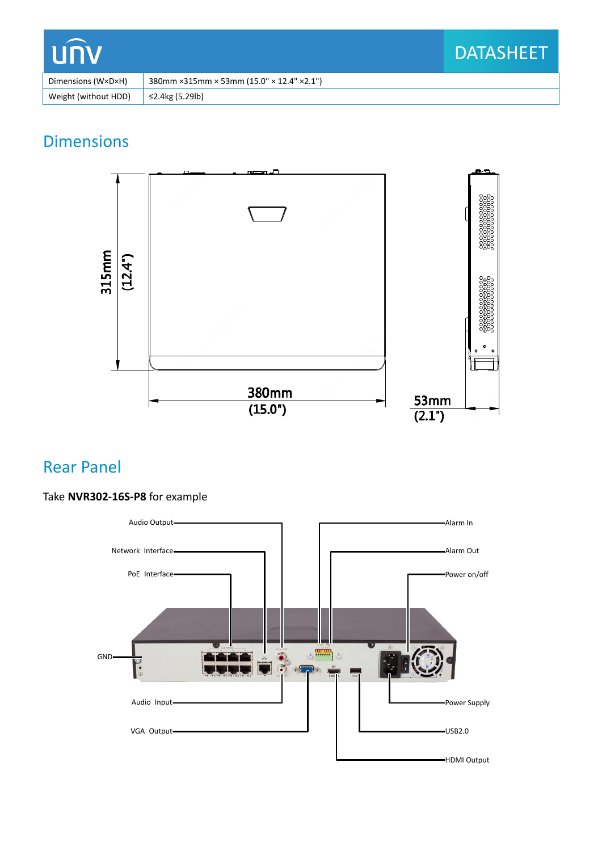| <b>LUNV</b>          |                                                                         | <b>DATASHEET</b> |
|----------------------|-------------------------------------------------------------------------|------------------|
| Dimensions (W×D×H)   | 380mm $\times$ 315mm $\times$ 53mm (15.0" $\times$ 12.4" $\times$ 2.1") |                  |
| Weight (without HDD) | ≤2.4kg (5.29lb)                                                         |                  |

# **Dimensions**



## Rear Panel

#### Take **NVR302-16S-P8** for example